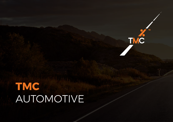## **TMC**  AUTOMOTIVE

**TM** 

**TMC**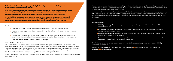We work with a number of partners and can assist you with selecting the fuel card/s that best suits your objectives – whether that be coverage, rebates, or simplicity of use. Our Fuel+ service handles card issue and control, and assumes all administrative and supply chain responsibilities.

And we can help you move away from fully expensed fuel cards - which in a lot of instances cost the employees more in tax than the actual cost of the fuel itself. It's not a great deal for the business either, which pays for the cost of fuel plus employer NI on the value of the benefit. We typically save businesses around £1,000 per driver per annum with this service.

- **Uisibility** Knowing who was driving the vehicle at any one time, which will help in the case of fines and traffic offences.
- **Compliance** We will remind drivers to record their mileage every month to ensure full and accurate mileage records for tax purposes.
- had the car when and for what purpose.
- easy to handle when using a dealer structured scheme.

## Additional Benefits

- 'Company car' drivers log their business mileage on our easy to use app or online system.
- We then work out any private mileage and provide payroll files for any reimbursements or private fuel deductions.
- We audit every business journey. Our system will check each journey and flag any anomalies to our Customer Service team who will investigate it further, contacting the driver directly where required.
- Every mile is accounted for, ensuring there is no leakage.

If you'd like to know more about how we could help your dealership save time, money and increase visibility, we'd love to hear from you.

You can call us on **+ 44 (0) 1270 525 218** or email us at **reply@themilesconsultancy.com** or visit our website **www.themilesconsultancy.com**

**Reduced administration** – no more log books, spreadsheets, chasing drivers and trying to work out who

**That year end employee reports** – we can provide reports for employees to make their tax returns and claims

Here's how:

And, if you have a fuel card....

We will check that every penny spent is being used for its correct purpose. We will ensure fuel cards are used to fill the correct vehicles i.e. we check whether the number of litres purchased is in line with the fuel tank capacity - and monitor driver usage and behaviour– for example, we will educate drivers who use expensive motorway stations on lower cost alternatives. We provide you with a host of tailored reports so you can see how many miles each vehicle has done and for what reason, alongside a payroll file for private mileage deductions.

You will also be able to see how many business miles each individual has done, to ensure business mileage is reported correctly to HMRC.

**TMC Automotive is a service designed specifically for the unique demands and challenges faced by dealerships, OEMs and rental companies.**

**With vehicles being utilised for multiple purposes by various members of staff, keeping a track of vehicle use and mileage is a tricky task, not just for the company, but for individual tax liabilities as well.**

**And then there's keeping track of bearer cards used to fill up customer cars, rentals and loans.**

**We work with several dealership groups, motor manufacturers and rental companies, increasing their visibility and control over vehicle usage and mileage whilst significantly reducing their fuel costs. Our clients benefit from an average saving of 15.4% off their fuel bills (which equates to 18p per litre).**